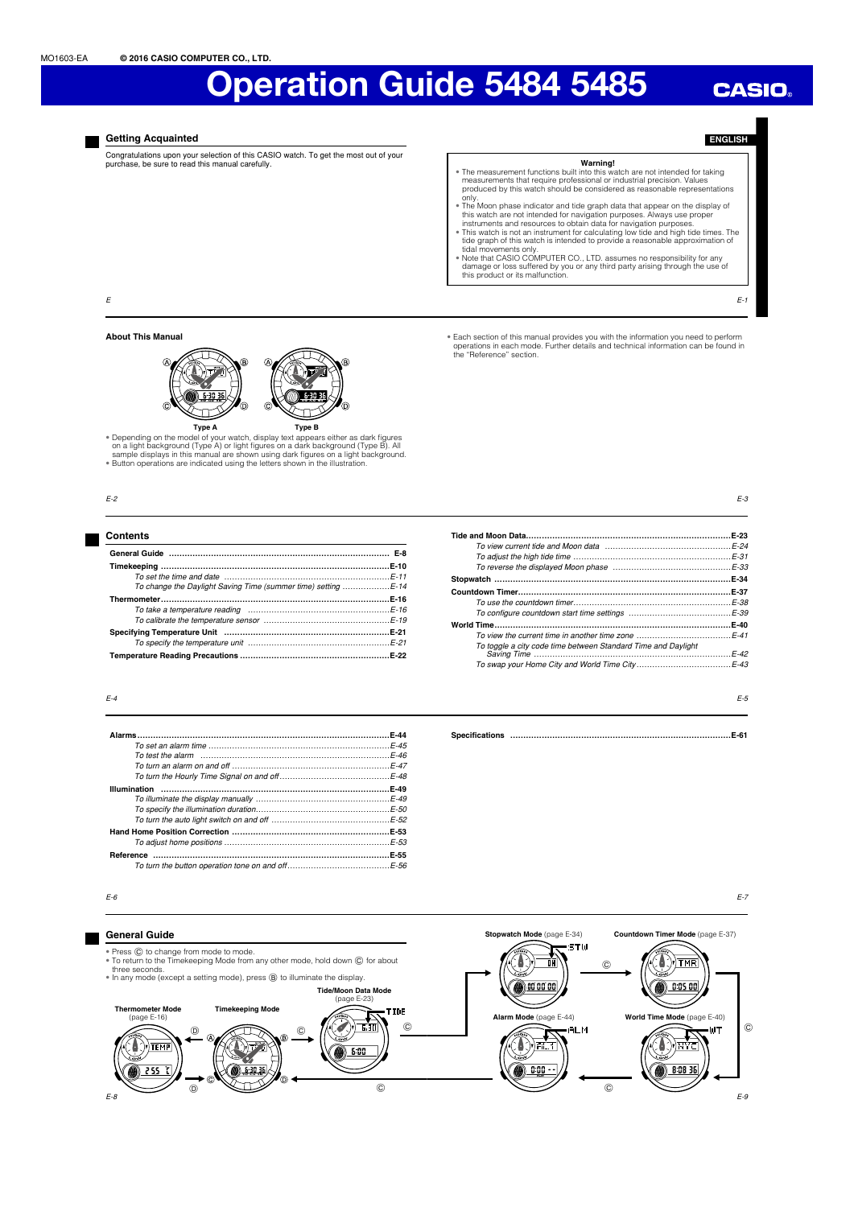# **CASIO**

**Getting Acquainted**

Congratulations upon your selection of this CASIO watch. To get the most out of your purchase, be sure to read this manual carefully.

- **ENGLISH**
- **Warning!**<br>The measurement functions built into this watch are not intended for taking<br>measurements that require professional or industrial precision. Values<br>produced by this watch should be considered as reasonable repres
- only. • The Moon phase indicator and tide graph data that appear on the display of
- this watch are not intended for navigation purposes. Always use proper<br>instruments and resources to obtain data for navigation purposes.<br>
\* This watch is not an instrument for calculating low tide and high tide times. The<br>
- damage or loss suffered by you or any third party arising through the use of this product or its malfunction.

• Each section of this manual provides you with the information you need to perform operations in each mode. Further details and technical information can be found in the "Reference" section.

E-1

E-3

E-5

E

# **About This Manual**



• Depending on the model of your watch, display text appears either as dark figures<br>The adjoint background (Type A) or light figures on a dark background (Type B). All<br>Sample displays in this manual are shown using dark fi

# E-2

# **Contents General Guide ………………………………………………………………………… E-8 Timekeeping ……………………………………………………………………………E-10** To set the time and date ………………………………………………………E-11 To change the Daylight Saving Time (summer time) setting ………………E-14 **Thermometer ……………………………………………………………………………E-16** To take a temperature reading .... To calibrate the temperature sensor …………………………………………E-19 **Specifying Temperature Unit ………………………………………………………E-21** To specify the temperature unit ………………………………………………E-21 **Temperature Reading Precautions …………………………………………………E-22**

|                                                                                                                                         | $E-23$ |
|-----------------------------------------------------------------------------------------------------------------------------------------|--------|
|                                                                                                                                         |        |
|                                                                                                                                         |        |
|                                                                                                                                         |        |
|                                                                                                                                         |        |
|                                                                                                                                         | .E-37  |
|                                                                                                                                         |        |
|                                                                                                                                         |        |
|                                                                                                                                         | E-40   |
| To view the current time in another time zone $\ldots$ $\ldots$ $\ldots$ $\ldots$ $\ldots$ $\ldots$ $\ldots$ $\ldots$ $\vdots$ $\vdots$ |        |
| To toggle a city code time between Standard Time and Daylight                                                                           | $F-42$ |
|                                                                                                                                         |        |

**Specifi cations …………………………………………………………………………E-61**

# $F-4$

E-6

| $F-44$ |
|--------|
|        |
|        |
|        |
|        |
| E-49   |
|        |
|        |
|        |
|        |
|        |
| E-55   |
|        |

| E-55                        |  |  |
|-----------------------------|--|--|
| $\ldots \ldots \ldots$ E-56 |  |  |
|                             |  |  |

# E-7

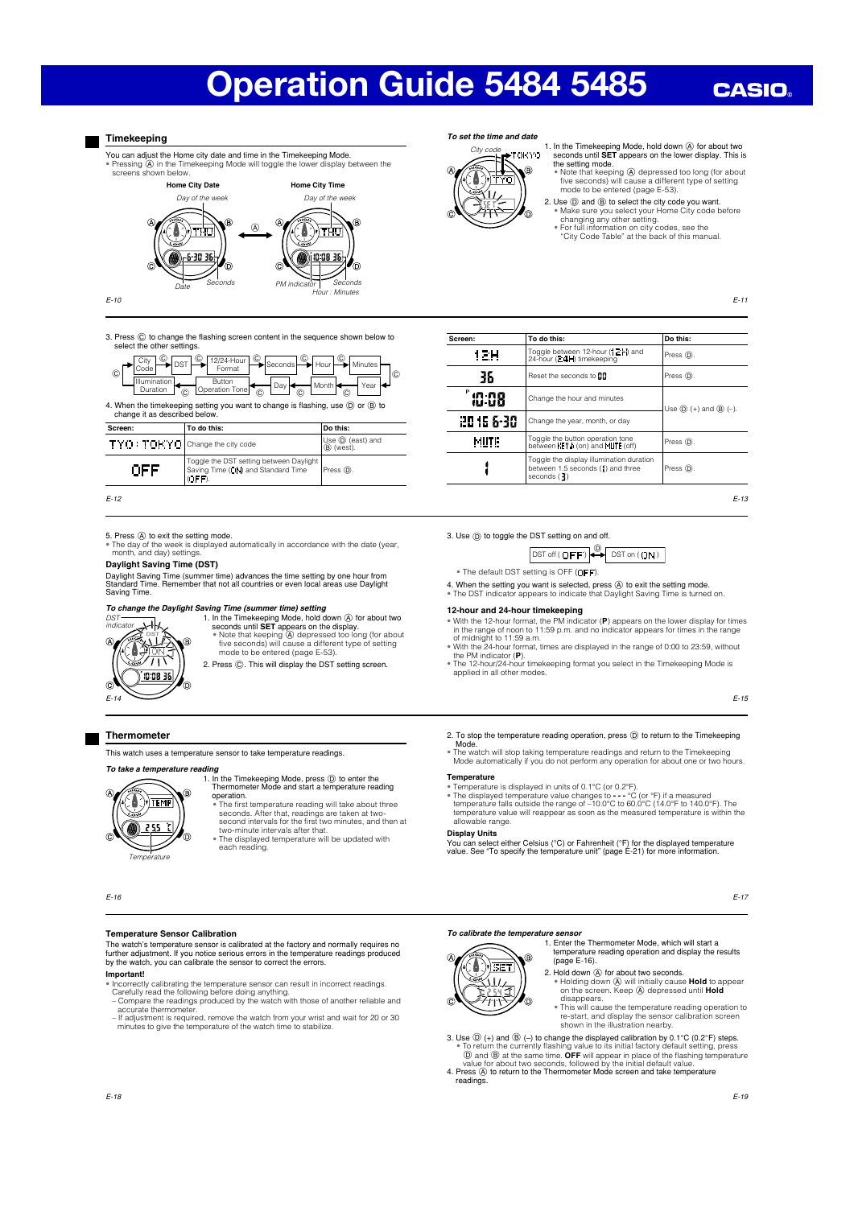# **CASIO**

# **Timekeeping**

You can adjust the Home city date and time in the Timekeeping Mode. • Pressing A in the Timekeeping Mode will toggle the lower display between the screens shown below.



E-10

3. Press  $\copyright$  to change the flashing screen content in the sequence shown below to select the other settings.



| TYO: TOKYO Change the city code |                                                                                           | Use $\circledD$ (east) and<br>(B) (west). |
|---------------------------------|-------------------------------------------------------------------------------------------|-------------------------------------------|
|                                 | Toggle the DST setting between Daylight  <br>Saving Time (ON) and Standard Time<br>(DEFD) | Press (D).                                |
|                                 |                                                                                           |                                           |

E-12

5. Press @ to exit the setting mode.<br>• The day of the week is displayed automatically in accordance with the date (year, month, and day) settings.

# **Daylight Saving Time (DST)**

Daylight Saving Time (summer time) advances the time setting by one hour from Standard Time. Remember that not all countries or even local areas use Daylight Saving Time.

# *To change the Daylight Saving Time (summer time) setting*



- 1. In the Timekeeping Mode, hold down  $\oslash$  for about two seconds until **SET** appears on the display.<br>• Note that keeping  $\oslash$  depressed too long (for about five seconds) will cause a different type of setting mode to be
- 2. Press  $\copyright$ . This will display the DST setting screen.

# **Thermometer**

This watch uses a temperature sensor to take temperature readings.

### *To take a temperature reading*

**Temperature** 

1. In the Timekeeping Mode, press  $\circledcirc$  to enter the Thermometer Mode and start a temperature reading operation. • The fi rst temperature reading will take about three seconds. After that, readings are taken at two-second intervals for the fi rst two minutes, and then at TEMP

- two-minute intervals after that.
- The displayed temperature will be updated with each reading.

E-16

# **Temperature Sensor Calibration**

The watch's temperature sensor is calibrated at the factory and normally requires no<br>further adjustment. If you notice serious errors in the temperature readings produced<br>by the watch, you can calibrate the sensor to corre

# **Important!**

- Incorrectly calibrating the temperature sensor can result in incorrect readings.<br>Carefully read the following before doing anything.<br>- Compare the readings produced by the watch with those of another reliable and<br>accurat
- 
- If adjustment is required, remove the watch from your wrist and wait for 20 or 30 minutes to give the temperature of the watch time to stabilize.

# *To set the time and date*



1. In the Timekeeping Mode, hold down **A** for about two seconds until **SET** appears on the lower display. This is

the setting mode.<br>• Note that keeping  $\bigotimes$  depressed too long (for about<br>five seconds) will cause a different type of setting<br>mode to be entered (page E-53).

2. Use  $\overline{\mathbb{O}}$  and  $\overline{\mathbb{O}}$  to select the city code you want.<br>• Make sure you select your Home City code before changing any other setting.<br>• For full information on city codes, see the  $\overline{\text{C}}$  in  $\overline{\text{C}}$  code

E-11

| Screen:    | To do this:                                                                                                       | Do this:                     |  |
|------------|-------------------------------------------------------------------------------------------------------------------|------------------------------|--|
| 12H        | Toggle between 12-hour (12H) and<br>24-hour (24H) timekeeping                                                     | Press (D).                   |  |
| 36         | Reset the seconds to <b>HI</b>                                                                                    | Press <sub>(D)</sub>         |  |
| 10:08      | Change the hour and minutes                                                                                       | Use $(D)$ (+) and $(B)$ (-). |  |
| 20 16 6-30 | Change the year, month, or day                                                                                    |                              |  |
| MUTE       | Toggle the button operation tone<br>between $\langle E  \cdot h$ (on) and $\langle h  \rangle \langle f  \rangle$ | Press <sub>(D)</sub>         |  |
|            | Toggle the display illumination duration<br>between 1.5 seconds (1) and three<br>seconds $\binom{3}{2}$           | Press (D).                   |  |

### 3. Use  $(D)$  to toggle the DST setting on and off.

 $\boxed{\text{DST off}(\text{OFF})} \overbrace{\text{DST on}(\text{ON})}$ 

- $\bullet$  The default DST setting is OFF (OFF).
- 
- 4. When the setting you want is selected, press @ to exit the setting mode.<br>• The DST indicator appears to indicate that Daylight Saving Time is turned on.

# **12-hour and 24-hour timekeeping**

- With the 12-hour format, the PM indicator (**P**) appears on the lower display for times
- in the range of noon to 11:59 p.m. and no indicator appears for times in the range<br>of midnight to 11:59 a.m.<br>• With the 24-hour format, times are displayed in the range of 0:00 to 23:59, without<br>the PM indicator (P).<br>• The
- applied in all other modes.

E-15

2. To stop the temperature reading operation, press (i) to return to the Timekeeping<br>Mode.<br>• The watch will stop taking temperature readings and return to the Timekeeping<br>• Mode automatically if you do not perform any oper

## **Temperature**

- 
- 

• Temperature is displayed in units of 0.1°C (or 0.2°F).<br>• The displayed temperature value changes to - - - °C (or °F) if a measured<br>temperature falls outside the range of -10.0°C to 60.0°C (14.0°F to 140.0°F). The<br>tempera allowable range.

## **Display Units**

You can select either Celsius (°C) or Fahrenheit (°F) for the displayed temperature value. See "To specify the temperature unit" (page E-21) for more information.

E-17

# **To calibrate the temperature sensor**

1. Enter the Thermometer Mode, which will start a temperature reading operation and display the results (page E-16).



- 2. Hold down  $\overline{\omega}$  for about two seconds.<br>
 Holding down  $\overline{\omega}$  will initially cause **Hold** to appear<br>
on the screen. Keep  $\overline{\omega}$  depressed until **Hold**
- disappears. • This will cause the temperature reading operation to re-start, and display the sensor calibration screen shown in the illustration nearby.
- 3. Use  $\overline{O}$  (+) and  $\overline{O}$  (-) to change the displayed calibration by 0.1°C (0.2°F) steps.<br>• To return the currently flashing value to its initial factory default setting, press.<br> $\overline{O}$  and  $\overline{O}$  at the same ti
- readings.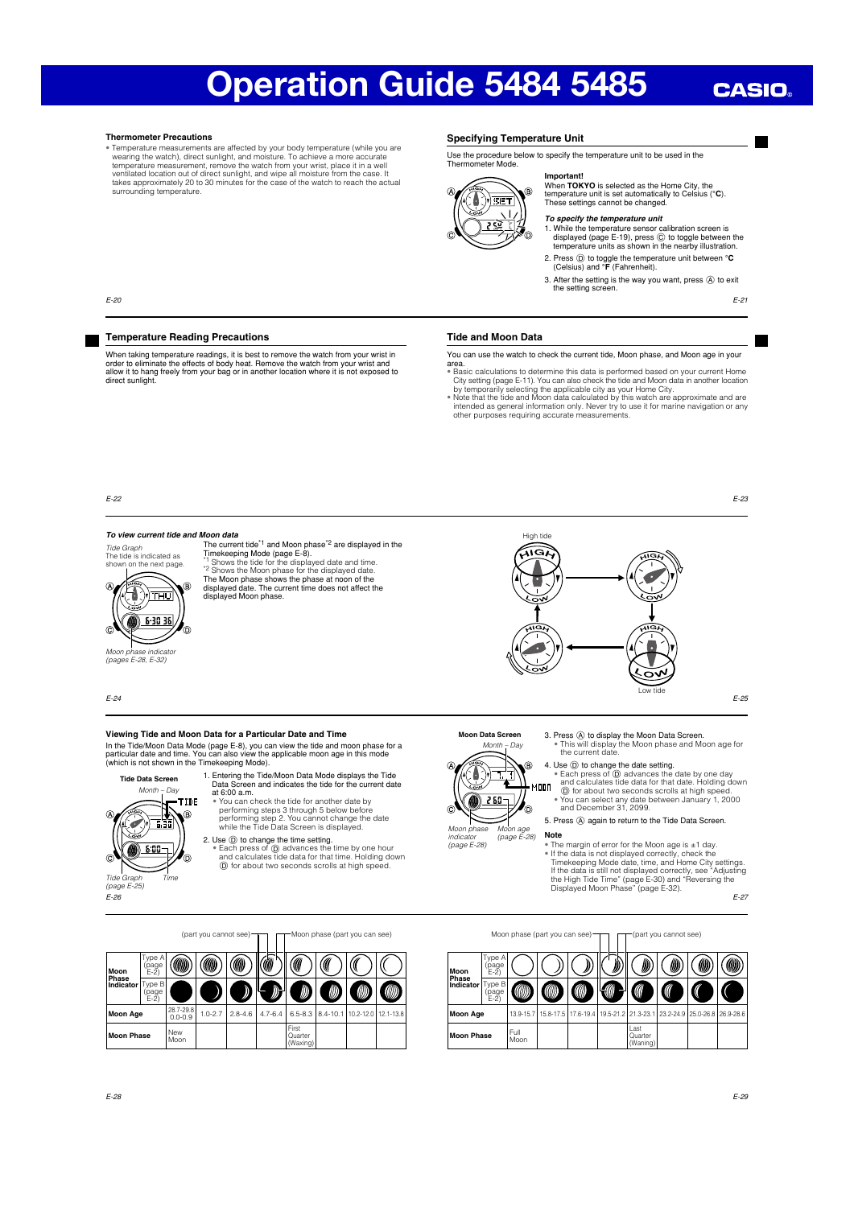# **CASIO**

## **Thermometer Precautions**

• Temperature measurements are affected by your body temperature (while you are<br>waring the watch), direct sunlight, and moisture. To achieve a more accurate<br>temperature measurement, remove the watch from your wrist, place surrounding temperature.

When taking temperature readings, it is best to remove the watch from your wrist in order to eliminate the effects of body heat. Remove the watch from your wrist and allow it to hang freely from your bag or in another location where it is not exposed to direct sunlight.

# **Specifying Temperature Unit**

Use the procedure below to specify the temperature unit to be used in the uccuurc<br>ster Mode

# **Important!** When **TOKYO** is selected as the Home City, the temperature unit is set automatically to Celsius (**°C**).

R **SET l lll llll ll**

# These settings cannot be changed. *To specify the temperature unit*

- 1. While the temperature sensor calibration screen is<br>displayed (page E-19), press  $\odot$  to toggle between the<br>temperature units as shown in the nearby illustration.
- 2. Press  $\textcircled{\tiny{D}}$  to toggle the temperature unit between  $\textcircled{\textsf{C}}$ <br>(Celsius) and  $\textcircled{\textsf{F}}$  (Fahrenheit).
- 3. After the setting is the way you want, press  $\overline{A}$  to exit the setting screen.

E-21

# **Tide and Moon Data**

You can use the watch to check the current tide, Moon phase, and Moon age in your area.

• Basic calculations to determine this data is performed based on your current Home City setting (page E-11). You can also check the tide and Moon data in another location by temporarily selecting the applicable city as yo

E-22

E-20

### *To view current tide and Moon data*

**Temperature Reading Precautions**



The current tide<sup>\*1</sup> and Moon phase<sup>\*2</sup> are displayed in the Timekeeping Mode (page E-8).<br>"I Shows the tide for the displayed date and time.<br>"<sup>2</sup> Shows the Moon phase for the displayed date.<br>The Moon phase shows the phase at noon of the<br>displayed date. The current time does not affe displayed Moon phase.



E-25

E-23

3. Press  $\overline{A}$  to display the Moon Data Screen.<br>
• This will display the Moon phase and Moon age for<br>
the current date.

4. Use  $\circledcirc$  to change the date setting.<br>  $\bullet$  Each press of  $\circledcirc$  advances the date by one day<br>
and calculates tide data for that date. Holding down<br>  $\circledcirc$  for about two seconds scrolls at high speed.<br>  $\bullet$  You can se

5. Press  $\widehat{A}$  again to return to the Tide Data Screen.

The margin of error for the Moon age is ±1 day. • If the data is not displayed correctly, check the<br>Timekeeping Mode date, time, and Home City settings.<br>If the data is still not displayed correctly, see "Adjusting<br>the High Tide Time" (page E-30) and "Reversing the<br>Displ

E-27



Moon phase (part you can see) $\neg\neg$   $\neg$  (part you cannot see) **Moon Phase** Type A (page E-2)

| Moon<br><b>Phase</b> | page<br>E-2)            |              |   | ' ש | W)                          | W)                                                                                            | W | www. |
|----------------------|-------------------------|--------------|---|-----|-----------------------------|-----------------------------------------------------------------------------------------------|---|------|
| Indicator            | 'Type B<br>page<br>E-2) |              | ⋒ |     |                             |                                                                                               |   |      |
| <b>Moon Age</b>      |                         |              |   |     |                             | 13.9-15.7   15.8-17.5   17.6-19.4   19.5-21.2   21.3-23.1   23.2-24.9   25.0-26.8   26.9-28.6 |   |      |
| Moon Phase           |                         | Full<br>Moon |   |     | Last<br>Quarter<br>(Waning) |                                                                                               |   |      |

E-24

### **Viewing Tide and Moon Data for a Particular Date and Time**

In the Tide/Moon Data Mode (page E-8), you can view the tide and moon phase for a<br>In the Tide/Moon Data Mode (page E-8), you can view the tide and moon phase for a<br>particular date and time. You can also view the applicable particular date and time. You can also view the applicable moon age in this mode (which is not shown in the Timekeeping Mode).



**Tide Data Screen**

1. Entering the Tide/Moon Data Mode displays the Tide<br>
Data Screen and indicates the tide for the current date<br>
at 6:00 a.m.<br>
• You can check the tide for another date by performing steps 3 through 5 below before

performing step 2. You cannot change the date while the Tide Data Screen is displayed.

2. Use  $\overline{0}$  to change the time setting.<br>• Each press of  $\overline{0}$  advances the time by one hour<br>and calculates tide data for that time. Holding down<br> $\overline{0}$  for about two seconds scrolls at high speed.



Ę Ì ۵ MOOD  $260 -$ Moon phase

indicator (page E-28)

**Moon Data Screen** Month – Day

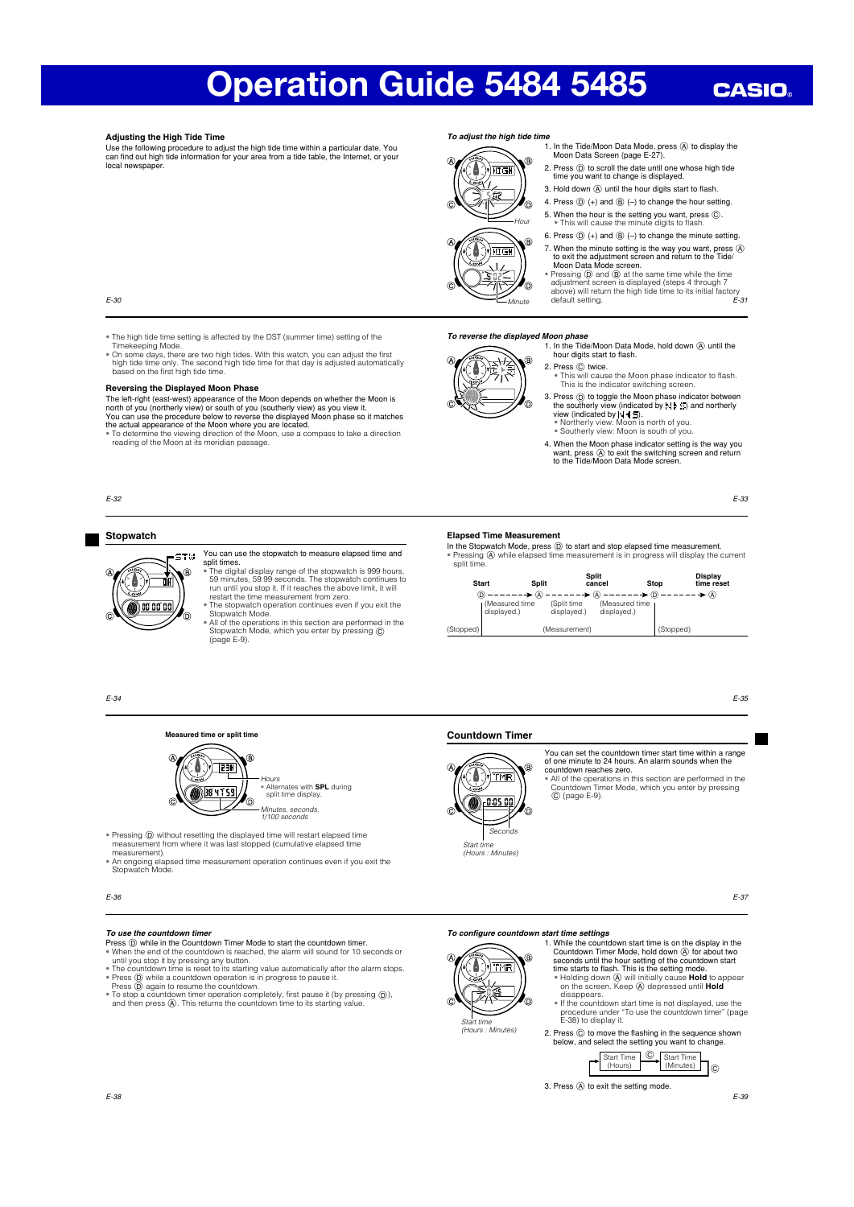# **CASIO**

# **Adjusting the High Tide Time**

Use the following procedure to adjust the high tide time within a particular date. You<br>can find out high tide information for your area from a tide table, the Internet, or your local newspaper.

# *To adjust the high tide time* 1. In the Tide/Moon Data Mode, press  $\circledA$  to display the Moon Data Screen (page E-27).



E-30

• The high tide time setting is affected by the DST (summer time) setting of the

Timekeeping Mode.<br>• On some days, there are two high tides. With this watch, you can adjust the first<br>high tide time only. The second high tide time for that day is adjusted automatically<br>based on the first high tide time.

## **Reversing the Displayed Moon Phase**

The left-right (east-west) appearance of the Moon depends on whether the Moon is<br>nonth of you (northerly view) or south of you (southerly view) as you view it.<br>You can use the procedure below to reverse the displayed Moon

# E-32

## **Stopwatch**



You can use the stopwatch to measure elapsed time and

split times. • The digital display range of the stopwatch is 999 hours, 59 minutes, 59.99 seconds. The stopwatch continues to run until you stop it. If it reaches the above limit, it will restart the time measurement from zero.<br>The stopwatch operation continues even if you exit the

• The stopwatch operation continues even if you exit the<br>• Stopwatch Mode.<br>• All of the operations in this section are performed in the<br>• Stopwatch Mode, which you enter by pressing ©<br>• (page E-9).

### *To reverse the displayed Moon phase*



1. In the Tide/Moon Data Mode, hold down  $\times$  until the hour digits start to flash. 2. Press  $\odot$  twice.

2. Press  $(D)$  to scroll the date until one whose high tide time you want to change is displayed. 3. Hold down  $\times$  until the hour digits start to flash 4. Press  $\circled{D}$  (+) and  $\circled{B}$  (-) to change the hour setting. 5. When the hour is the setting you want, press  $\circled{c}$ .<br>• This will cause the minute digits to flash. 6. Press  $\circledD$  (+) and  $\circledB$  (-) to change the minute setting. 7. When the minute setting is the way you want, press  $\circledA$  to exit the adjustment screen and return to the Tide/<br>Moon Data Mode screen.  $\frac{1}{2}$  Pressing  $\overline{0}$  and  $\overline{6}$  at the same time while the time adjustment screen is displayed (steps 4 through 7 above) will return the high tide time to its initial factory

- This will cause the Moon phase indicator to flash. This is the indicator switching screen.
- 3. Press '  $\odot$  to toggle the Moon phase indicator between<br>the southerly view (indicated by N  $\blacklozenge$ ) and northerly<br>view (indicated by N  $\blacklozenge$  S.<br>expressively view: Moon is north of you.
- 4. When the Moon phase indicator setting is the way you want, press @ to exit the switching screen and return<br>to the Tide/Moon Data Mode screen.

E-33

E-35

 $F-31$ 

**Elapsed Time Measurement** In the Stopwatch Mode, press ' to start and stop elapsed time measurement. • Pressing \$ while elapsed time measurement is in progress will display the current split time.

default setting.

| <b>Start</b> | <b>Split</b>                    |                            | Split<br>cancel               | <b>Stop</b> | <b>Display</b><br>time reset |
|--------------|---------------------------------|----------------------------|-------------------------------|-------------|------------------------------|
|              | ∩ ––––––                        |                            |                               |             |                              |
|              | I (Measured time<br>displayed.) | (Split time<br>displayed.) | (Measured time<br>displayed.) |             |                              |
| (Stopped)    |                                 | (Measurement)              |                               | (Stopped)   |                              |

E-34

# **Measured time or split time**



• Alternates with **SPL** during split time display Minutes, seconds, 1/100 seconds

• Pressing ⑨ without resetting the displayed time will restart elapsed time<br>measurement from where it was last stopped (cumulative elapsed time<br>measurement).

• An ongoing elapsed time measurement operation continues even if you exit the Stopwatch Mode.

E-36

- **To use the countdown timer**<br>Press (i) while in the Countdown Timer Mode to start the countdown timer. **Press**  $\widehat{Q}$  while in the Countdown Timer Mode to start the countdown timer.<br>  $\bullet$  When the end of the countdown is reached, the alarm will sound for 10 seconds or<br>
until you stop it by pressing any button.<br>  $\bullet$  The
- 
- and then press  $\widehat{A}$ . This returns the countdown time to its starting value.

# **THR** n n

Start time (Hours : Minutes) Seconds

**Countdown Timer**

You can set the countdown timer start time within a range of one minute to 24 hours. An alarm sounds when the countdown reaches zero. • All of the operations in this section are performed in the Countdown Timer Mode, which you enter by pressing  $\odot$  (page E-9)

E-37

# *To confi gure countdown start time settings*



Start time (Hours : Minutes)

1. While the countdown start time is on the display in the Countdown Timer Mode, hold down  $\overline{\omega}$  for about two seconds until the hour setting of the countdown start time starts to flash. This is the setting mode.<br>• Hol

disappears.

• If the countdown start time is not displayed, use the procedure under "To use the countdown timer" (page E-38) to display it.

2. Press  $\circled{c}$  to move the flashing in the sequence shown below, and select the setting you want to change.



3. Press  $\overline{A}$  to exit the setting mode

E-39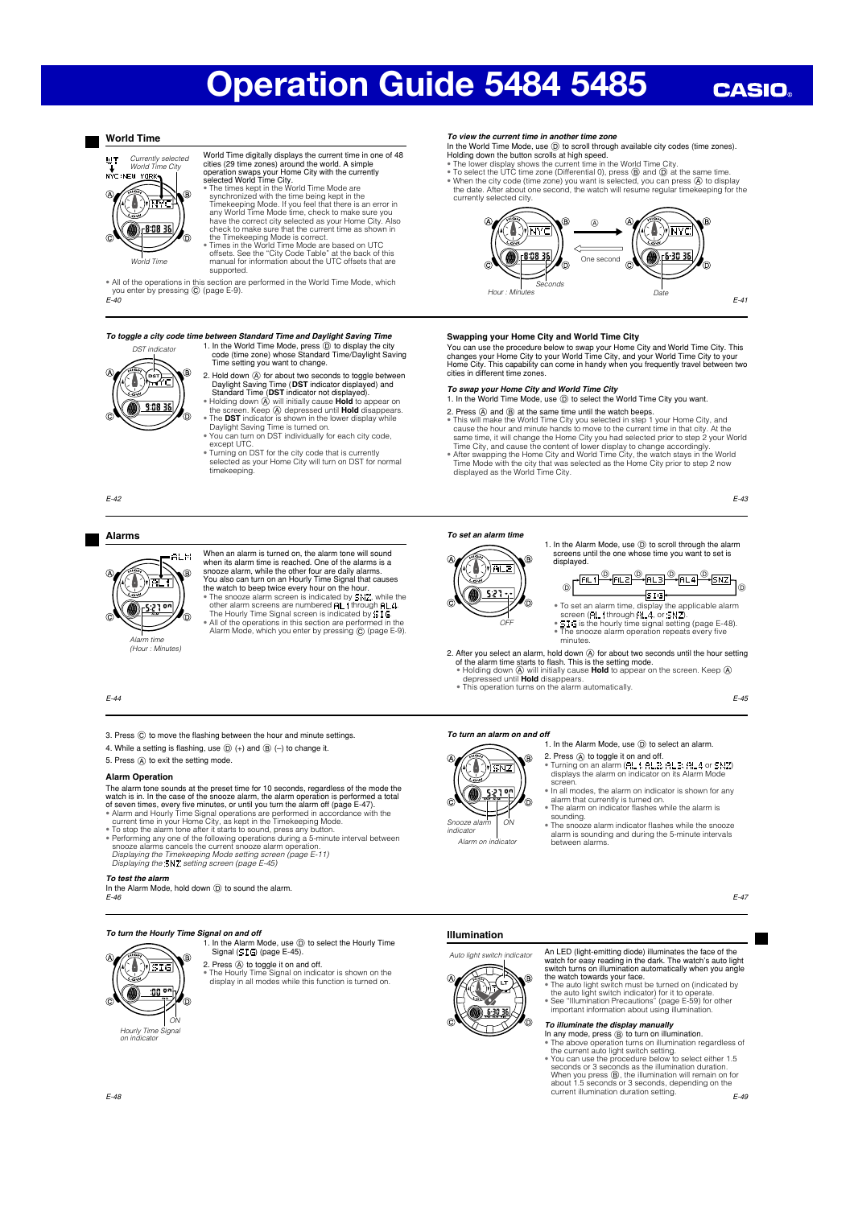*To view the current time in another time zone*

Seconds

ัก

-8.08 38

**Swapping your Home City and World Time City**

2. Press  $\overline{A}$  and  $\overline{B}$  at the same time until the watch beeps.

currently selected city.

 $H_{OUT}$  : Min

Δ ਐਸ਼ੁਨਵ

displayed as the World Time City.

*To set an alarm time*

In the World Time Mode, use  $(D)$  to scroll through available city codes (time zones). Holding down the button scrolls at high speed.<br>
• The lower display shows the current time in the World Time City.<br>
• To select the UTC time zone (Differential 0), press ⑧ and ⓪ at the same time.<br>
• When the city code (ti

> A ▲

One second

You can use the procedure below to swap your Home City and World Time City. This<br>changes your Home City to your World Time City, and your World Time City to your<br>Home City. This capability can come in handy when you freque

• This will make the World Time City you selected in step 1 your Home City, and<br>cause the hour and minute hands to move to the current time in that city. At the<br>same time, it will change the Home City you had selected prio

**To swap your Home City and World Time City**<br>1. In the World Time Mode, use **(i)** to select the World Time City you want.

Date

איק)

 $-6 - 30 - 36$ 

# **CASIO**

E-41

E-43

# **World Time**



- Word Time digitally displays the current time in one of 48<br>cities (29 time zones) around the world. A simple<br>operation swaps your Home City with the currently<br>selected World Time City.<br>The times kept in the World Time Mode
- 

 $F-40$ • All of the operations in this section are performed in the World Time Mode, which you enter by pressing (C) (page E-9)

## *To toggle a city code time between Standard Time and Daylight Saving Time*



- 1. In the World Time Mode, press (D) to display the city code (time zone) whose Standard Time/Daylight Saving<br>Time setting you want to change. 2. Hold down @ for about two seconds to toggle between
- Daylight Saving Time (DST indicator displayed) and<br>Standard Time (DST indicator not displayed).<br>• Holding down  $\overline{\omega}$  will initially cause **Hold** to appear on<br>the screen. Keep  $\overline{\omega}$  depressed until **Hold** disappears.
- 
- except UTC. Turning on DST for the city code that is currently selected as your Home City will turn on DST for normal timekeeping.
- 

E-42

### **Alarms**



When an alarm time timed on, the alarm tone will sound<br>when its alarm time is reached. One of the alarms is a<br>snooze alarm, while the other four are daily alarms.<br>You also can turn on an Hourly Time Signal that causes<br>the

# E-44

- 3. Press  $@$  to move the flashing between the hour and minute settings.
- 4. While a setting is flashing, use  $\textcircled{)}$  (+) and  $\textcircled{B}$  (-) to change it.
- 5. Press  $\widehat{A}$  to exit the setting mode.

## **Alarm Operation**

- The alarm tone sounds at the preset time for 10 seconds, regardless of the mode the watch is in. In the case of the snoze alarm, the alarm operation is performed a total of seven times, every five minutes, or until you tu
- 
- To stop the alarm tone after it starts to sound, press any button. Performing any one of the following operations during a 5-minute interval between snooze alarms cancels the current snooze alarm operation.
- Displaying the Timekeeping Mode setting screen (page E-11) Displaying the setting screen (page E-45)

# *To test the alarm*

- In the Alarm Mode, hold down  $\circledD$  to sound the alarm.
- E-46
- 

E-48

# *To turn the Hourly Time Signal on and off*

1. In the Alarm Mode, use  $(D)$  to select the Hourly Time Signal  $(515)$  (page E-45).



2. Press @ to toggle it on and off.<br>• The Hourly Time Signal on indicator is shown on the<br>clisplay in all modes while this function is turned on.





An LED (light-emitting diode) illuminates the face of the watch for easy reading in the dark. The watch's auto light switch turns on illumination automatically when you angle the watch towards your face.<br>
• The auto light

# *To illuminate the display manually*

In any mode, press  $\circledB$  to turn on illumination.

• The above operation turns on illumination regardless of<br>the current auto light switch setting.<br>• You can use the procedure below to select either 1.5<br>seconds or 3 seconds as the illumination duration.<br>When you press (@, about 1.5 seconds or 3 seconds, depending on the current illumination duration setting.

E-45

...<br>© <u>PELI<sup>O</sup>-BLE<sup>O</sup>-BLE<sup>O</sup>-BLI<sup>O</sup>-BNZ</sub><br>SIG-</u>  $\overset{\circledcirc}{\longrightarrow}$  AL3  $\overset{\circledcirc}{\longrightarrow}$  AL4  $\overset{\circledcirc}{\longrightarrow}$ 

1. In the Alarm Mode, use  $\circledcirc$  to scroll through the alarm screens until the one whose time you want to set is displayed.

- To set an alarm time, display the applicable alarm<br>• screen (FIL 1 through RL4, or SNZ).<br>• SIG is the hourly time signal setting (page E-48).<br>• The snooze alarm operation repeats every five
- minutes.
- 2. After you select an alarm, hold down  $\oslash$  for about two seconds until the hour setting of the alarm time starts to flash. This is the setting mode.<br>  $\blacksquare$  Holding down  $\oslash$  will initially cause **Hold** to appear on t
	-
	-

1. In the Alarm Mode, use  $\circledD$  to select an alarm

- 2. Press ④ to toggle it on and off.<br>● Turning on an alarm (AL ), AL2, AL3, AL4 or SNZ) displays the alarm on indicator on its Alarm Mode
- In all modes, the alarm on indicator is shown for any alarm that currently is turned on. The alarm on indicator fl ashes while the alarm is
- sounding.

Find shooze alarm indicator flashes while the snooze alarm is sounding and during the 5-minute intervals between alarms.

E-49

- 
- 

screen

Snooze ala  $O<sub>N</sub>$ 

# Alarm on

- 
- **SNZ**

# indicator

*To turn an alarm on and off*



OFF

**AL2** 



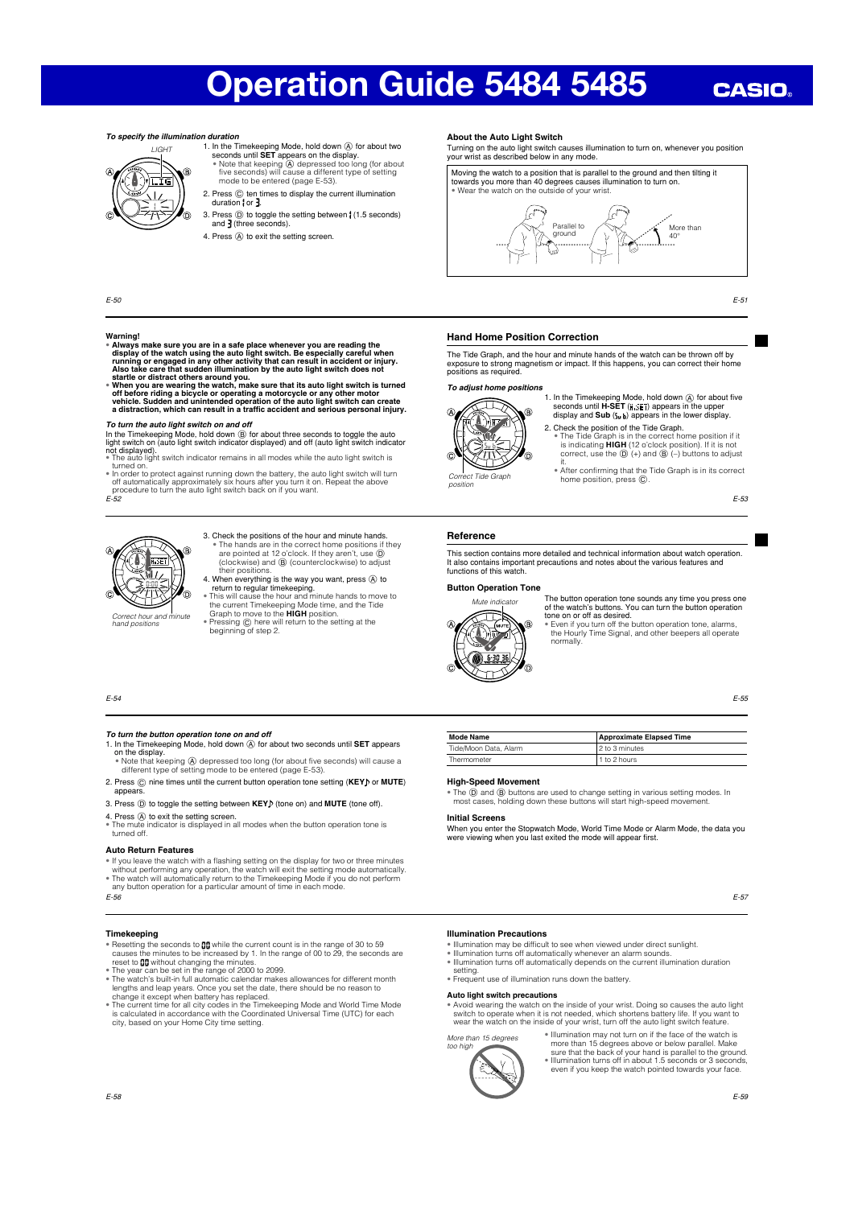# **CASIO**

# *To specify the illumination duration*



1. In the Timekeeping Mode, hold down  $\oslash$  for about two seconds until **SET** appears on the display.<br>• Note that keeping  $\oslash$  depressed too long (for about five seconds) will cause a different type of setting mode to be

- 2. Press  $\copyright$  ten times to display the current illumination  $duration$  for  $\frac{3}{2}$ .
- 3. Press  $\circled{)}$  to toggle the setting between (1.5 seconds) and  $\cdot$  (three seconds).
- 4. Press  $\textcircled{A}$  to exit the setting screen.

E-50

# **Warning!**

- Always make sure you are in a safe place whenever you are reading the<br>display of the watch using the auto light switch. Be especially careful when<br>running or engaged in any other activity that can result in accident or i
- startle or distract others around you.<br>• When you are wearing the watch, make sure that its auto light switch is turned<br>• of before riding a bicycle or operating a motorcycle or any other motor<br>• or belice. Sudden and unin

To turn the auto light switch on and off<br>in the Einseleeping Mode, hold down  $@$  for about three seconds to toggle the auto<br>light switch on (auto light switch indicator displayed) and off (auto light switch indicator<br>not

E-52

1. In the Timekeeping Mode, hold down  $\overline{A}$  for about two seconds until **SET** appears

3. Press  $\textcircled{1}$  to toggle the setting between KEY<sub>I</sub> (tone on) and MUTE (tone off) 4. Press (A) to exit the setting screen.<br>• The mute indicator is displayed in all modes when the button operation tone is<br>turned off.

• Note that keeping @ depressed too long (for about five seconds) will cause a<br>different type of setting mode to be entered (page E-53). 2. Press  $\textcircled{c}$  nine times until the current button operation tone setting (KEY) or MUTE)

• If you leave the watch with a flashing setting on the display for two or three minutes<br>without performing any operation, the watch will exit the setting mode automatically.<br>• The watch will automatically return to the Ti

• Resetting the seconds to **00** while the current count is in the range of 30 to 59<br>causes the minutes to be increased by 1. In the range of 00 to 29, the seconds are<br>reset to **00** without changing the minutes. • The year can be set in the range of 2000 to 2099. • The watch's built-in full automatic calendar makes allowances for different month

lengths and leap years. Once you set the date, there should be no reason to<br>change it except when battery has replaced.<br>The current time for all city codes in the Timekeeping Mode and World Time Mode<br>is calculated in accor



*To turn the button operation tone on and off*

E-54

on the display.

**Auto Return Features**

appears.

E-56

**Timekeeping**

- 3. Check the positions of the hour and minute hands. • The hands are in the correct home positions if they aren't, use  $\overline{0}$  (clockwise) and  $\overline{0}$  (counterclockwise) to adjust their positions.<br>
4. When everything is the way you want, press  $\overline{0}$  to the interverythi
- 
- 
- return to regular timekeeping.<br>
 This will cause the hour and minute hands to move to<br>
the current Timekeeping Mode time, and the Tide<br>
Graph to move to the **HIGH** position.<br>
 Pressing © here will return to the setting a

# **About the Auto Light Switch**

Turning on the auto light switch causes illumination to turn on, whenever you position your wrist as described below in any mode.



E-51

# **Hand Home Position Correction**

The Tide Graph, and the hour and minute hands of the watch can be thrown off by exposure to strong magnetism or impact. If this happens, you can correct their home positions as required.

### *To adjust home positions*



1. In the Timekeeping Mode, hold down **A** for about five<br>seconds until H-SET (H<sub>is</sub>ET) appears in the upper<br>display and **Sub** (S<sub>ub</sub>) appears in the lower display. 2. Check the position of the Tide Graph.

• The Tide Graph is in the correct home position if it is not<br>is indicating **HIGH** (12 o'clock position). If it is not<br>correct, use the  $\textcircled{D}$  (+) and  $\textcircled{B}$  (-) buttons to adjust

it. • After confi rming that the Tide Graph is in its correct ct Tide Graph **Alter Community that the Correct Tide Graph** 

E-53

## **Reference**

position

This section contains more detailed and technical information about watch operation. It also contains important precautions and notes about the various features and functions of this watch.

# **Button Operation Tone**



The button operation tone sounds any time you press one<br>of the watch's buttons. You can turn the button operation<br>tone on or off as desired.<br>• Even if you turn off the button operation tone, alarms,

the Hourly Time Signal, and other beepers all operate normally.

E-55

# **Mode Name** Approximate Elapsed Time Tide/Moon Data, Alarm 2 to 3 minu Thermometer 1 to 2 hours

### **High-Speed Movement**

• The  $\circled{D}$  and  $\circled{B}$  buttons are used to change setting in various setting modes. In most cases, holding down these buttons will start high-speed movement.

### **Initial Screens**

When you enter the Stopwatch Mode, World Time Mode or Alarm Mode, the data you<br>were viewing when you last exited the mode will appear first.

# **Illumination Precautions**

- Illumination may be difficult to see when viewed under direct sunlight.<br>• Illumination turns off automatically whenever an alarm sounds.<br>• Illumination turns off automatically depends on the current illumination duration
- setting. • Frequent use of illumination runs down the battery.

**Auto light switch precautions**

Avoid wearing the watch on the inside of your wrist. Doing so causes the auto light switch to operate when it is not needed, which shortens battery life. If you want to want to want to want the wear the watch not be insid

More than 15 degrees too high



• Illumination may not turn on if the face of the watch is

more than 15 degrees above or below parallel. Make<br>sure that the back of your hand is parallel to the ground.<br>"Illumination turns off in about 1.5 seconds or 3 seconds,<br>even if you keep the watch pointed towards your face.

E-59